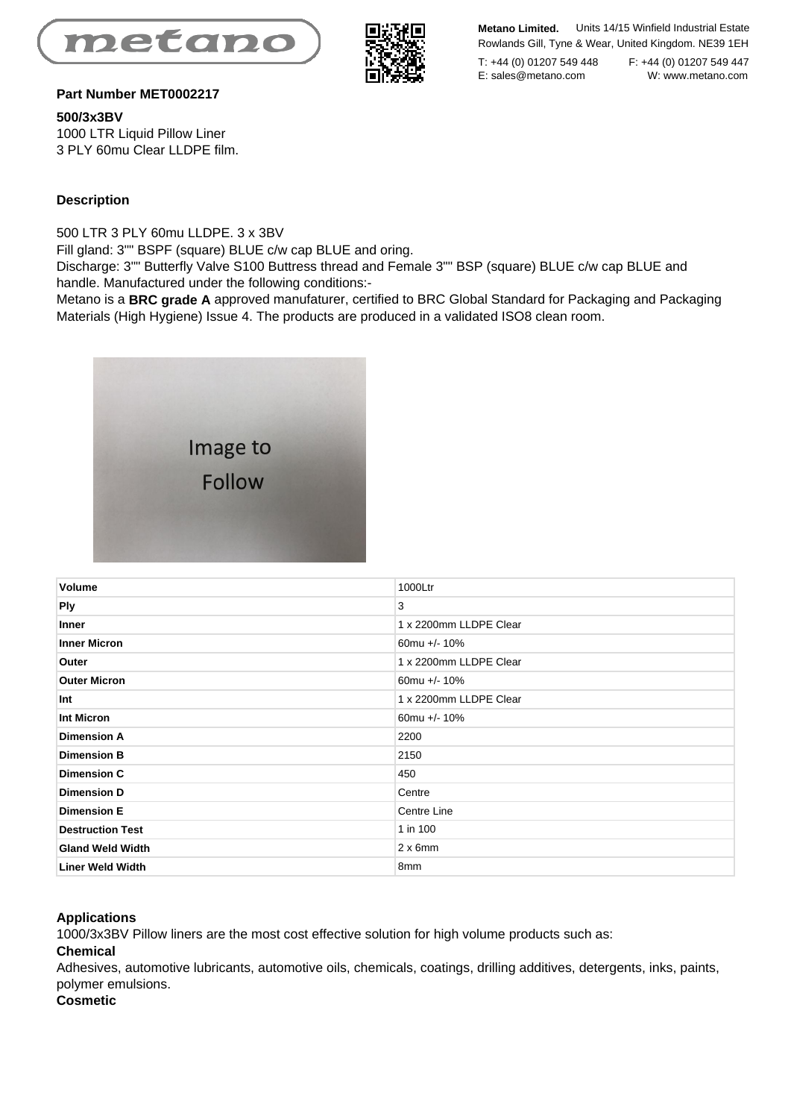



**Metano Limited.** Units 14/15 Winfield Industrial Estate Rowlands Gill, Tyne & Wear, United Kingdom. NE39 1EH

T: +44 (0) 01207 549 448 F: +44 (0) 01207 549 447<br>E: sales@metano.com W: www.metano.com E: sales@metano.com

## **Part Number MET0002217**

**500/3x3BV**  1000 LTR Liquid Pillow Liner 3 PLY 60mu Clear LLDPE film.

## **Description**

500 LTR 3 PLY 60mu LLDPE. 3 x 3BV

Fill gland: 3"" BSPF (square) BLUE c/w cap BLUE and oring.

Discharge: 3"" Butterfly Valve S100 Buttress thread and Female 3"" BSP (square) BLUE c/w cap BLUE and handle. Manufactured under the following conditions:-

Metano is a **BRC grade A** approved manufaturer, certified to BRC Global Standard for Packaging and Packaging Materials (High Hygiene) Issue 4. The products are produced in a validated ISO8 clean room.



| Volume                  | 1000Ltr                |
|-------------------------|------------------------|
| <b>Ply</b>              | 3                      |
| Inner                   | 1 x 2200mm LLDPE Clear |
| <b>Inner Micron</b>     | 60mu +/- $10\%$        |
| Outer                   | 1 x 2200mm LLDPE Clear |
| <b>Outer Micron</b>     | 60mu +/- $10\%$        |
| Int                     | 1 x 2200mm LLDPE Clear |
| Int Micron              | 60mu +/- 10%           |
| <b>Dimension A</b>      | 2200                   |
| <b>Dimension B</b>      | 2150                   |
| <b>Dimension C</b>      | 450                    |
| <b>Dimension D</b>      | Centre                 |
| <b>Dimension E</b>      | Centre Line            |
| <b>Destruction Test</b> | 1 in 100               |
| <b>Gland Weld Width</b> | $2 \times 6$ mm        |
| <b>Liner Weld Width</b> | 8 <sub>mm</sub>        |

#### **Applications**

1000/3x3BV Pillow liners are the most cost effective solution for high volume products such as:

### **Chemical**

Adhesives, automotive lubricants, automotive oils, chemicals, coatings, drilling additives, detergents, inks, paints, polymer emulsions.

# **Cosmetic**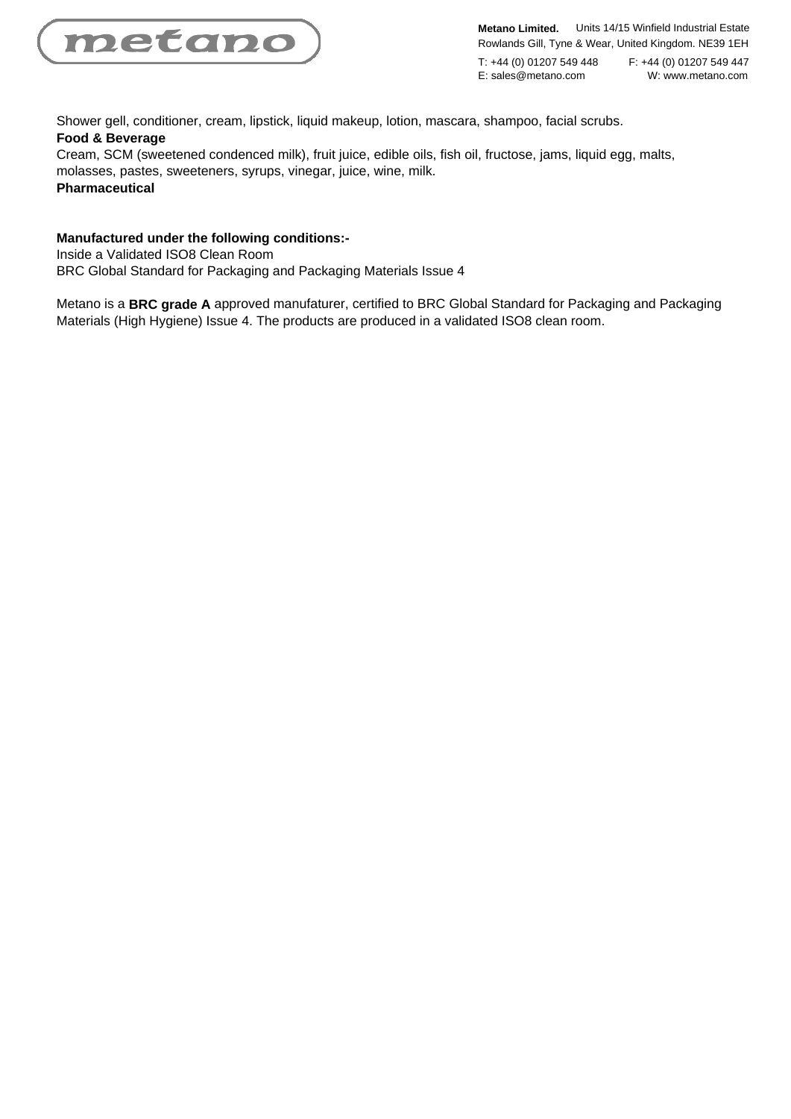

**Metano Limited.** Units 14/15 Winfield Industrial Estate Rowlands Gill, Tyne & Wear, United Kingdom. NE39 1EH

E: sales@metano.com

T: +44 (0) 01207 549 448 F: +44 (0) 01207 549 447<br>E: sales@metano.com W: www.metano.com

Shower gell, conditioner, cream, lipstick, liquid makeup, lotion, mascara, shampoo, facial scrubs. **Food & Beverage**

Cream, SCM (sweetened condenced milk), fruit juice, edible oils, fish oil, fructose, jams, liquid egg, malts, molasses, pastes, sweeteners, syrups, vinegar, juice, wine, milk. **Pharmaceutical**

## **Manufactured under the following conditions:-**

Inside a Validated ISO8 Clean Room

BRC Global Standard for Packaging and Packaging Materials Issue 4

Metano is a **BRC grade A** approved manufaturer, certified to BRC Global Standard for Packaging and Packaging Materials (High Hygiene) Issue 4. The products are produced in a validated ISO8 clean room.